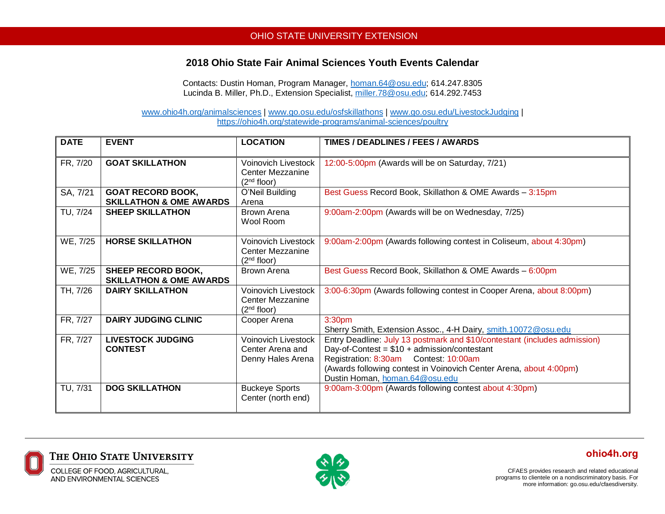## OHIO STATE UNIVERSITY EXTENSION

## **2018 Ohio State Fair Animal Sciences Youth Events Calendar**

Contacts: Dustin Homan, Program Manager, [homan.64@osu.edu;](mailto:homan.64@osu.edu) 614.247.8305 Lucinda B. Miller, Ph.D., Extension Specialist, [miller.78@osu.edu;](mailto:miller.78@osu.edu) 614.292.7453

[www.ohio4h.org/animalsciences](http://www.ohio4h.org/animalsciences) | [www.go.osu.edu/osfskillathons](http://www.go.osu.edu/osfskillathons) | [www.go.osu.edu/LivestockJudging](http://www.go.osu.edu/LivestockJudging) | <https://ohio4h.org/statewide-programs/animal-sciences/poultry>

| <b>DATE</b> | <b>EVENT</b>                                                    | <b>LOCATION</b>                                                                  | TIMES / DEADLINES / FEES / AWARDS                                                                                                                                                                                                                                           |
|-------------|-----------------------------------------------------------------|----------------------------------------------------------------------------------|-----------------------------------------------------------------------------------------------------------------------------------------------------------------------------------------------------------------------------------------------------------------------------|
| FR, 7/20    | <b>GOAT SKILLATHON</b>                                          | <b>Voinovich Livestock</b><br><b>Center Mezzanine</b><br>(2 <sup>nd</sup> floor) | 12:00-5:00pm (Awards will be on Saturday, 7/21)                                                                                                                                                                                                                             |
| SA, 7/21    | <b>GOAT RECORD BOOK,</b><br><b>SKILLATHON &amp; OME AWARDS</b>  | O'Neil Building<br>Arena                                                         | Best Guess Record Book, Skillathon & OME Awards - 3:15pm                                                                                                                                                                                                                    |
| TU, 7/24    | <b>SHEEP SKILLATHON</b>                                         | Brown Arena<br>Wool Room                                                         | 9:00am-2:00pm (Awards will be on Wednesday, 7/25)                                                                                                                                                                                                                           |
| WE, 7/25    | <b>HORSE SKILLATHON</b>                                         | <b>Voinovich Livestock</b><br><b>Center Mezzanine</b><br>(2 <sup>nd</sup> floor) | 9:00am-2:00pm (Awards following contest in Coliseum, about 4:30pm)                                                                                                                                                                                                          |
| WE, 7/25    | <b>SHEEP RECORD BOOK,</b><br><b>SKILLATHON &amp; OME AWARDS</b> | Brown Arena                                                                      | Best Guess Record Book, Skillathon & OME Awards - 6:00pm                                                                                                                                                                                                                    |
| TH, 7/26    | <b>DAIRY SKILLATHON</b>                                         | <b>Voinovich Livestock</b><br><b>Center Mezzanine</b><br>(2 <sup>nd</sup> floor) | 3:00-6:30pm (Awards following contest in Cooper Arena, about 8:00pm)                                                                                                                                                                                                        |
| FR, 7/27    | <b>DAIRY JUDGING CLINIC</b>                                     | Cooper Arena                                                                     | 3:30 <sub>pm</sub><br>Sherry Smith, Extension Assoc., 4-H Dairy, smith.10072@osu.edu                                                                                                                                                                                        |
| FR, 7/27    | <b>LIVESTOCK JUDGING</b><br><b>CONTEST</b>                      | Voinovich Livestock<br>Center Arena and<br>Denny Hales Arena                     | Entry Deadline: July 13 postmark and \$10/contestant (includes admission)<br>Day-of-Contest = $$10 +$ admission/contestant<br>Registration: 8:30am Contest: 10:00am<br>(Awards following contest in Voinovich Center Arena, about 4:00pm)<br>Dustin Homan, homan.64@osu.edu |
| TU, 7/31    | <b>DOG SKILLATHON</b>                                           | <b>Buckeye Sports</b><br>Center (north end)                                      | 9:00am-3:00pm (Awards following contest about 4:30pm)                                                                                                                                                                                                                       |